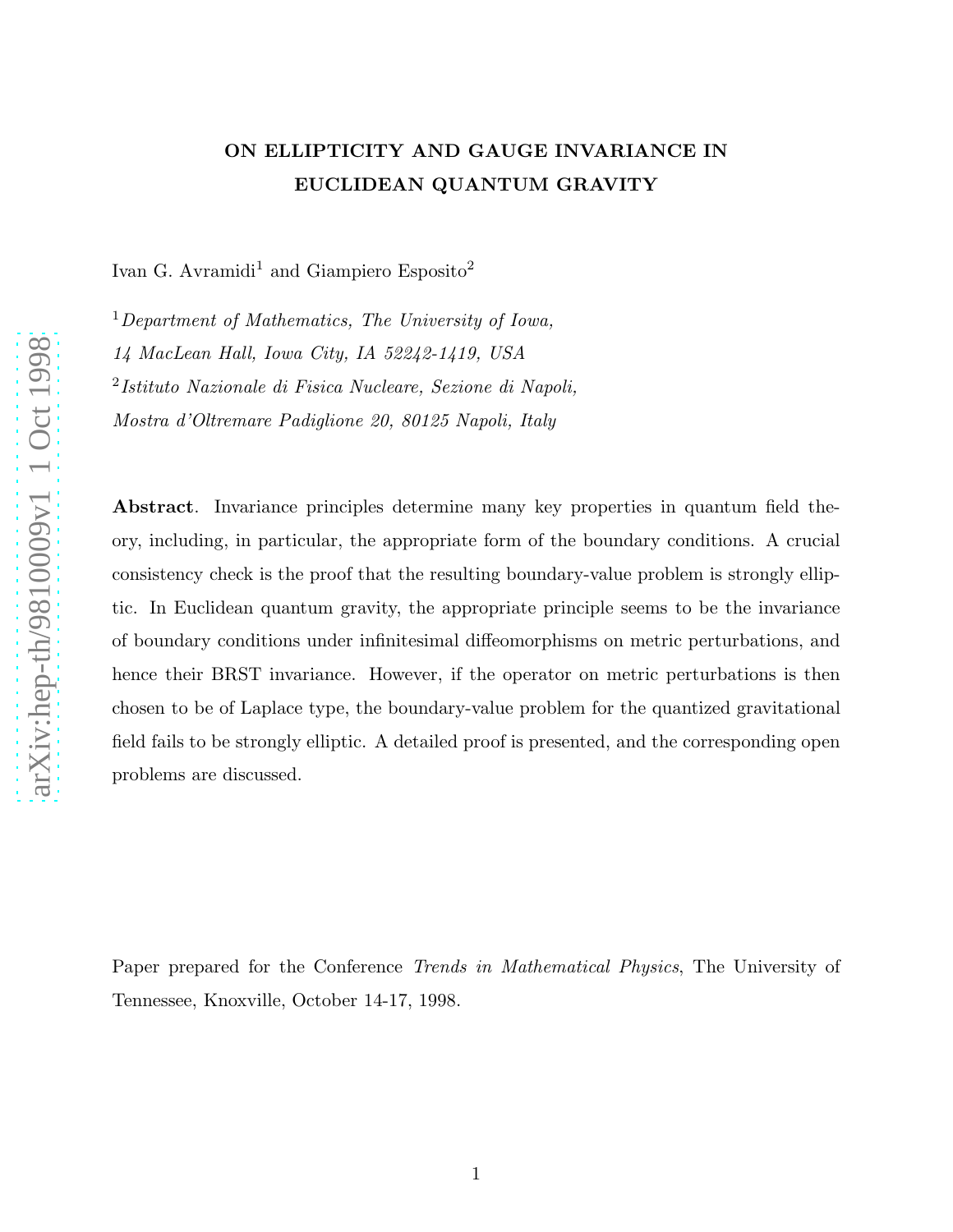## ON ELLIPTICITY AND GAUGE INVARIANCE IN EUCLIDEAN QUANTUM GRAVITY

Ivan G. Avramidi<sup>1</sup> and Giampiero Esposito<sup>2</sup>

 $1$ Department of Mathematics, The University of Iowa, 14 MacLean Hall, Iowa City, IA 52242-1419, USA 2 Istituto Nazionale di Fisica Nucleare, Sezione di Napoli, Mostra d'Oltremare Padiglione 20, 80125 Napoli, Italy

Abstract. Invariance principles determine many key properties in quantum field theory, including, in particular, the appropriate form of the boundary conditions. A crucial consistency check is the proof that the resulting boundary-value problem is strongly elliptic. In Euclidean quantum gravity, the appropriate principle seems to be the invariance of boundary conditions under infinitesimal diffeomorphisms on metric perturbations, and hence their BRST invariance. However, if the operator on metric perturbations is then chosen to be of Laplace type, the boundary-value problem for the quantized gravitational field fails to be strongly elliptic. A detailed proof is presented, and the corresponding open problems are discussed.

Paper prepared for the Conference Trends in Mathematical Physics, The University of Tennessee, Knoxville, October 14-17, 1998.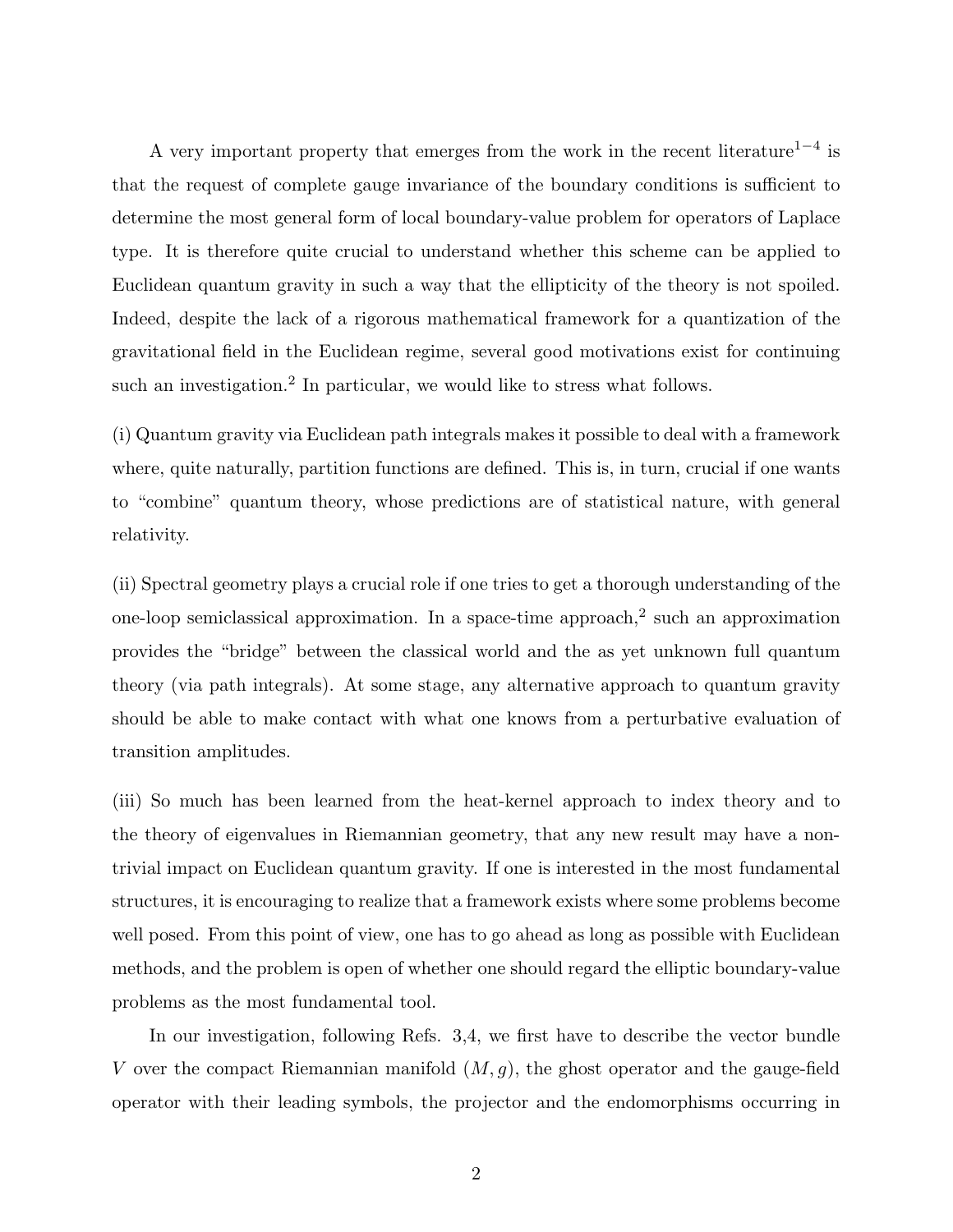A very important property that emerges from the work in the recent literature<sup>1-4</sup> is that the request of complete gauge invariance of the boundary conditions is sufficient to determine the most general form of local boundary-value problem for operators of Laplace type. It is therefore quite crucial to understand whether this scheme can be applied to Euclidean quantum gravity in such a way that the ellipticity of the theory is not spoiled. Indeed, despite the lack of a rigorous mathematical framework for a quantization of the gravitational field in the Euclidean regime, several good motivations exist for continuing such an investigation.<sup>2</sup> In particular, we would like to stress what follows.

(i) Quantum gravity via Euclidean path integrals makes it possible to deal with a framework where, quite naturally, partition functions are defined. This is, in turn, crucial if one wants to "combine" quantum theory, whose predictions are of statistical nature, with general relativity.

(ii) Spectral geometry plays a crucial role if one tries to get a thorough understanding of the one-loop semiclassical approximation. In a space-time approach,<sup>2</sup> such an approximation provides the "bridge" between the classical world and the as yet unknown full quantum theory (via path integrals). At some stage, any alternative approach to quantum gravity should be able to make contact with what one knows from a perturbative evaluation of transition amplitudes.

(iii) So much has been learned from the heat-kernel approach to index theory and to the theory of eigenvalues in Riemannian geometry, that any new result may have a nontrivial impact on Euclidean quantum gravity. If one is interested in the most fundamental structures, it is encouraging to realize that a framework exists where some problems become well posed. From this point of view, one has to go ahead as long as possible with Euclidean methods, and the problem is open of whether one should regard the elliptic boundary-value problems as the most fundamental tool.

In our investigation, following Refs. 3,4, we first have to describe the vector bundle V over the compact Riemannian manifold  $(M, g)$ , the ghost operator and the gauge-field operator with their leading symbols, the projector and the endomorphisms occurring in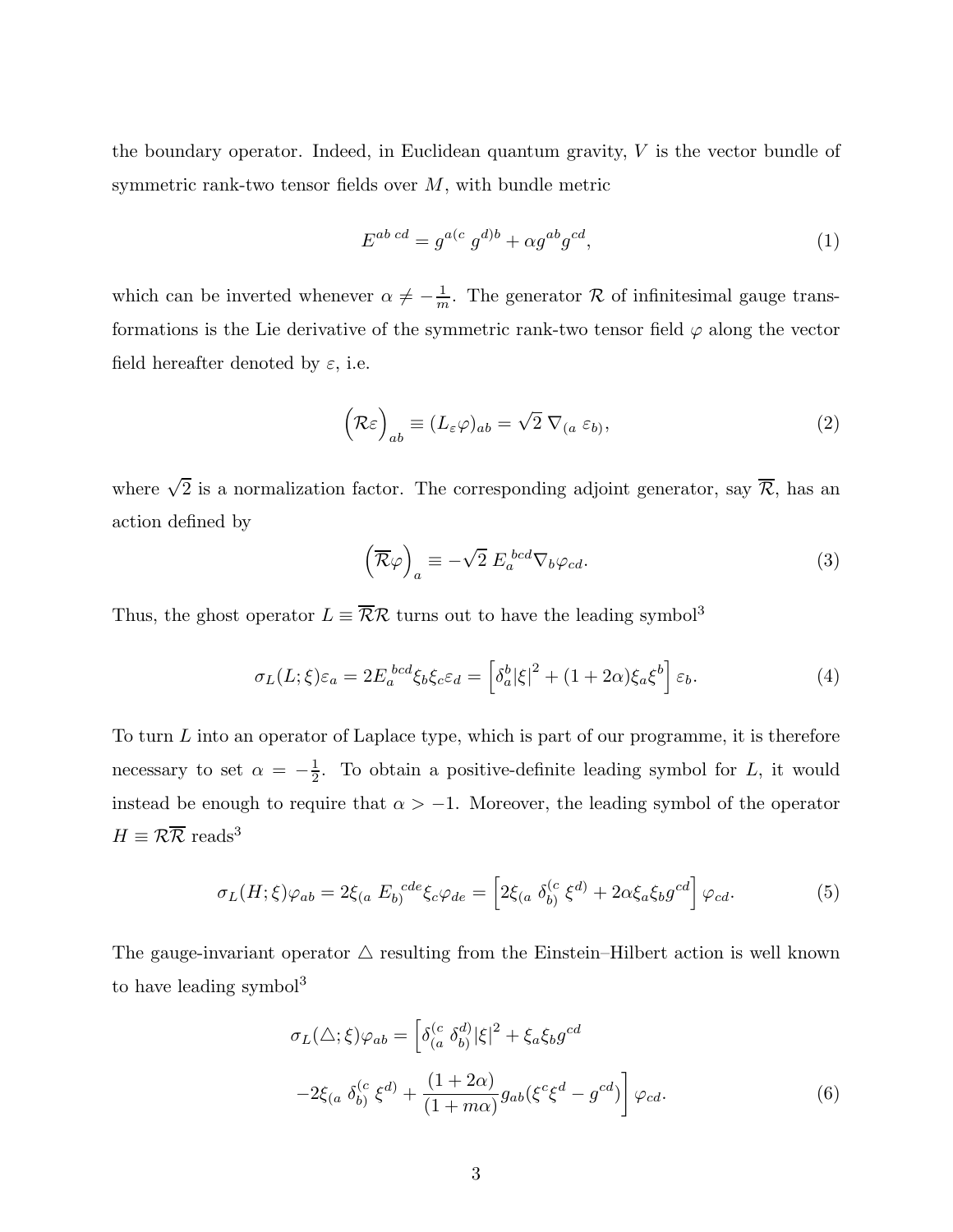the boundary operator. Indeed, in Euclidean quantum gravity,  $V$  is the vector bundle of symmetric rank-two tensor fields over  $M$ , with bundle metric

$$
E^{ab \cdotp cd} = g^{a(c} g^{d)b} + \alpha g^{ab} g^{cd},\tag{1}
$$

which can be inverted whenever  $\alpha \neq -\frac{1}{m}$ . The generator R of infinitesimal gauge transformations is the Lie derivative of the symmetric rank-two tensor field  $\varphi$  along the vector field hereafter denoted by  $\varepsilon$ , i.e.

$$
\left(\mathcal{R}\varepsilon\right)_{ab} \equiv (L_{\varepsilon}\varphi)_{ab} = \sqrt{2}\,\nabla_{(a}\,\varepsilon_{b)},\tag{2}
$$

where  $\sqrt{2}$  is a normalization factor. The corresponding adjoint generator, say  $\overline{\mathcal{R}}$ , has an action defined by

$$
\left(\overline{\mathcal{R}}\varphi\right)_a \equiv -\sqrt{2} E_a^{bcd} \nabla_b \varphi_{cd}.
$$
\n(3)

Thus, the ghost operator  $L \equiv \overline{\mathcal{R}} \mathcal{R}$  turns out to have the leading symbol<sup>3</sup>

$$
\sigma_L(L;\xi)\varepsilon_a = 2E_a^{bcd}\xi_b\xi_c\varepsilon_d = \left[\delta_a^b|\xi|^2 + (1+2\alpha)\xi_a\xi^b\right]\varepsilon_b.
$$
 (4)

To turn L into an operator of Laplace type, which is part of our programme, it is therefore necessary to set  $\alpha = -\frac{1}{2}$  $\frac{1}{2}$ . To obtain a positive-definite leading symbol for L, it would instead be enough to require that  $\alpha > -1$ . Moreover, the leading symbol of the operator  $H \equiv \mathcal{R}\overline{\mathcal{R}}$  reads<sup>3</sup>

$$
\sigma_L(H;\xi)\varphi_{ab} = 2\xi_{(a} E_{b)}^{cde}\xi_c\varphi_{de} = \left[2\xi_{(a} \delta_{b)}^{(c} \xi^{d)} + 2\alpha\xi_a\xi_b g^{cd}\right]\varphi_{cd}.
$$
\n(5)

The gauge-invariant operator  $\triangle$  resulting from the Einstein–Hilbert action is well known to have leading symbol $3$ 

$$
\sigma_L(\Delta; \xi)\varphi_{ab} = \left[\delta_{(a}^{(c} \delta_{b)}^{d)}|\xi|^2 + \xi_a \xi_b g^{cd}\right]
$$

$$
-2\xi_{(a} \delta_{b)}^{(c} \xi^{d)} + \frac{(1+2\alpha)}{(1+m\alpha)} g_{ab} (\xi^c \xi^d - g^{cd})\right] \varphi_{cd}.
$$

$$
(6)
$$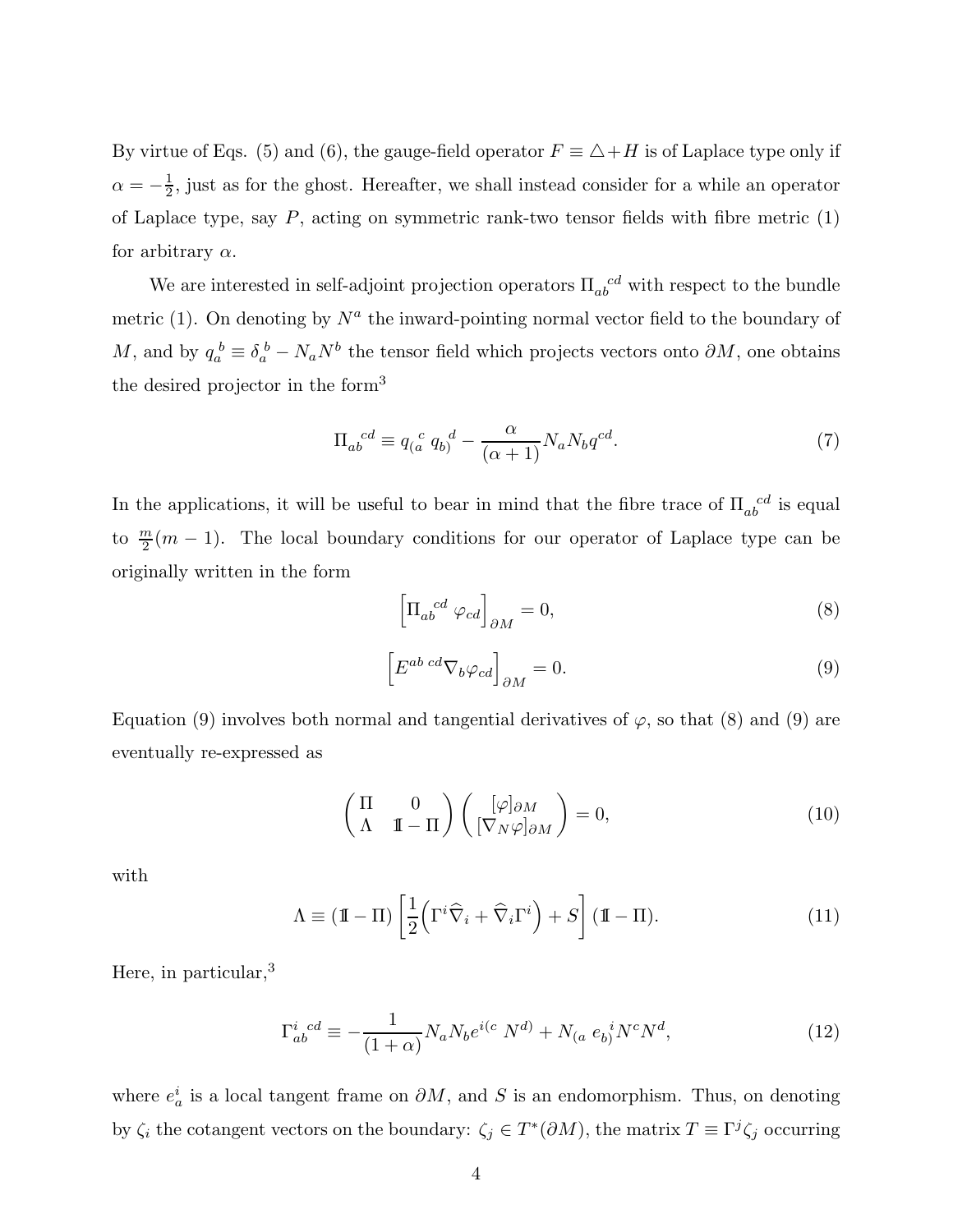By virtue of Eqs. (5) and (6), the gauge-field operator  $F \equiv \triangle + H$  is of Laplace type only if  $\alpha=-\frac{1}{2}$  $\frac{1}{2}$ , just as for the ghost. Hereafter, we shall instead consider for a while an operator of Laplace type, say  $P$ , acting on symmetric rank-two tensor fields with fibre metric  $(1)$ for arbitrary  $\alpha$ .

We are interested in self-adjoint projection operators  $\Pi_{ab}^{~~cd}$  with respect to the bundle metric (1). On denoting by  $N^a$  the inward-pointing normal vector field to the boundary of M, and by  $q_a^b \equiv \delta_a^b - N_a N^b$  the tensor field which projects vectors onto  $\partial M$ , one obtains the desired projector in the form<sup>3</sup>

$$
\Pi_{ab}^{cd} \equiv q_a^{\ c} q_b^d - \frac{\alpha}{(\alpha+1)} N_a N_b q^{cd}.
$$
\n(7)

In the applications, it will be useful to bear in mind that the fibre trace of  $\Pi_{ab}^{~~cd}$  is equal to  $\frac{m}{2}(m-1)$ . The local boundary conditions for our operator of Laplace type can be originally written in the form

$$
\left[\Pi_{ab}^{cd}\ \varphi_{cd}\right]_{\partial M} = 0,\tag{8}
$$

$$
\[E^{ab \ cd} \nabla_b \varphi_{cd}\]_{\partial M} = 0.\tag{9}
$$

Equation (9) involves both normal and tangential derivatives of  $\varphi$ , so that (8) and (9) are eventually re-expressed as

$$
\begin{pmatrix} \Pi & 0 \\ \Lambda & \Pi - \Pi \end{pmatrix} \begin{pmatrix} [\varphi]_{\partial M} \\ [\nabla_N \varphi]_{\partial M} \end{pmatrix} = 0, \tag{10}
$$

with

$$
\Lambda \equiv (\mathbb{I} - \Pi) \left[ \frac{1}{2} \left( \Gamma^i \widehat{\nabla}_i + \widehat{\nabla}_i \Gamma^i \right) + S \right] (\mathbb{I} - \Pi). \tag{11}
$$

Here, in particular,<sup>3</sup>

$$
\Gamma_{ab}^{i\ cd} \equiv -\frac{1}{(1+\alpha)} N_a N_b e^{i(c} N^{d)} + N_{(a} e_b^{i} N^c N^d, \tag{12}
$$

where  $e_a^i$  is a local tangent frame on  $\partial M$ , and S is an endomorphism. Thus, on denoting by  $\zeta_i$  the cotangent vectors on the boundary:  $\zeta_j \in T^*(\partial M)$ , the matrix  $T \equiv \Gamma^j \zeta_j$  occurring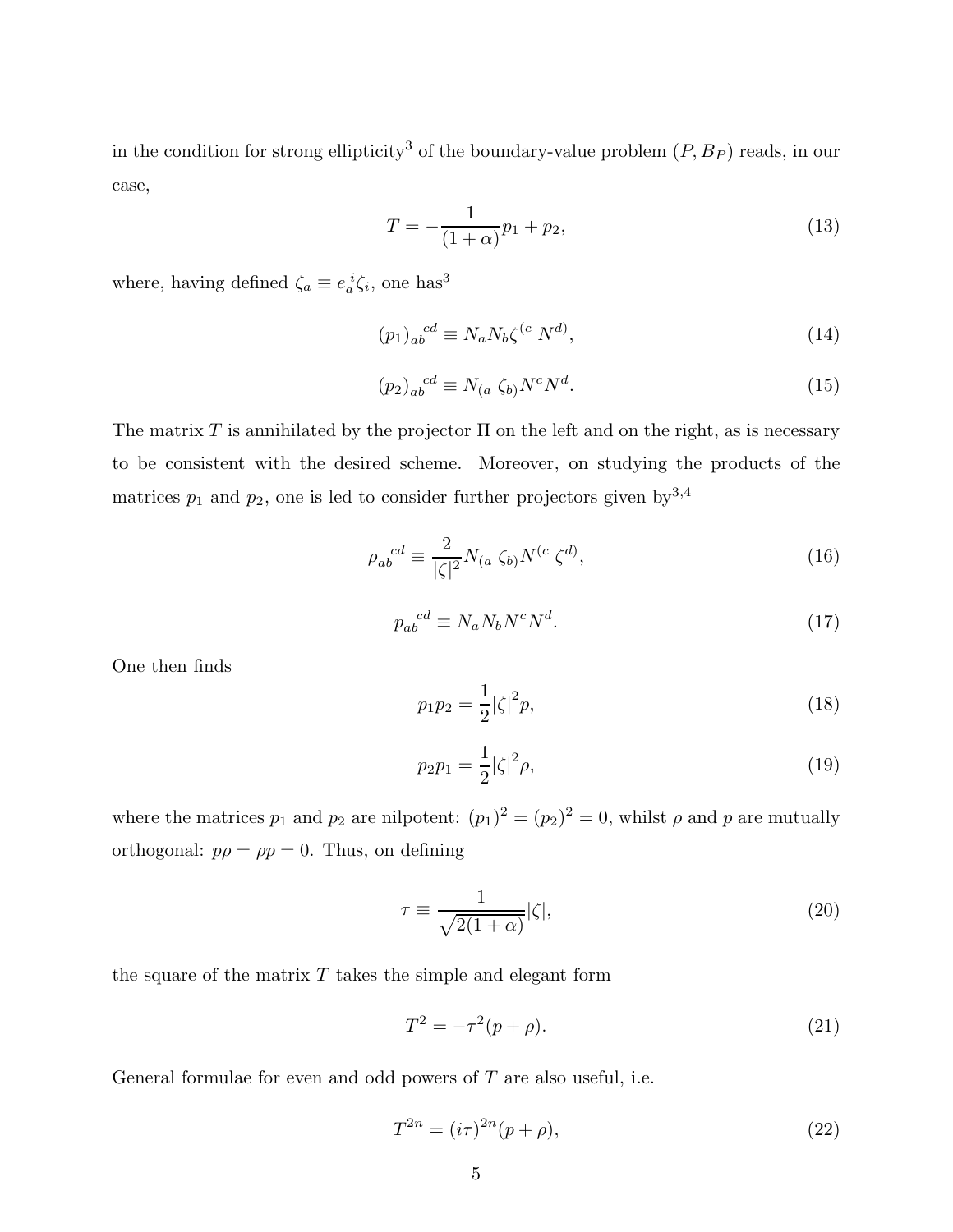in the condition for strong ellipticity<sup>3</sup> of the boundary-value problem  $(P, B_P)$  reads, in our case,

$$
T = -\frac{1}{(1+\alpha)}p_1 + p_2,\tag{13}
$$

where, having defined  $\zeta_a \equiv e_a^i \zeta_i$ , one has<sup>3</sup>

$$
(p_1)_{ab}^{cd} \equiv N_a N_b \zeta^{(c)} N^{d)},\tag{14}
$$

$$
(p_2)_{ab}^{cd} \equiv N_{(a} \zeta_{b)} N^c N^d. \tag{15}
$$

The matrix T is annihilated by the projector  $\Pi$  on the left and on the right, as is necessary to be consistent with the desired scheme. Moreover, on studying the products of the matrices  $p_1$  and  $p_2$ , one is led to consider further projectors given by  $3,4$ 

$$
\rho_{ab}^{cd} \equiv \frac{2}{|\zeta|^2} N_{(a} \zeta_{b)} N^{(c} \zeta^{d)},\tag{16}
$$

$$
p_{ab}^{cd} \equiv N_a N_b N^c N^d. \tag{17}
$$

One then finds

$$
p_1 p_2 = \frac{1}{2} |\zeta|^2 p,\tag{18}
$$

$$
p_2 p_1 = \frac{1}{2} |\zeta|^2 \rho,
$$
\n(19)

where the matrices  $p_1$  and  $p_2$  are nilpotent:  $(p_1)^2 = (p_2)^2 = 0$ , whilst  $\rho$  and  $p$  are mutually orthogonal:  $p\rho = \rho p = 0$ . Thus, on defining

$$
\tau \equiv \frac{1}{\sqrt{2(1+\alpha)}}|\zeta|,\tag{20}
$$

the square of the matrix  $T$  takes the simple and elegant form

$$
T^2 = -\tau^2 (p + \rho).
$$
 (21)

General formulae for even and odd powers of  $T$  are also useful, i.e.

$$
T^{2n} = (i\tau)^{2n}(p+\rho),
$$
\n(22)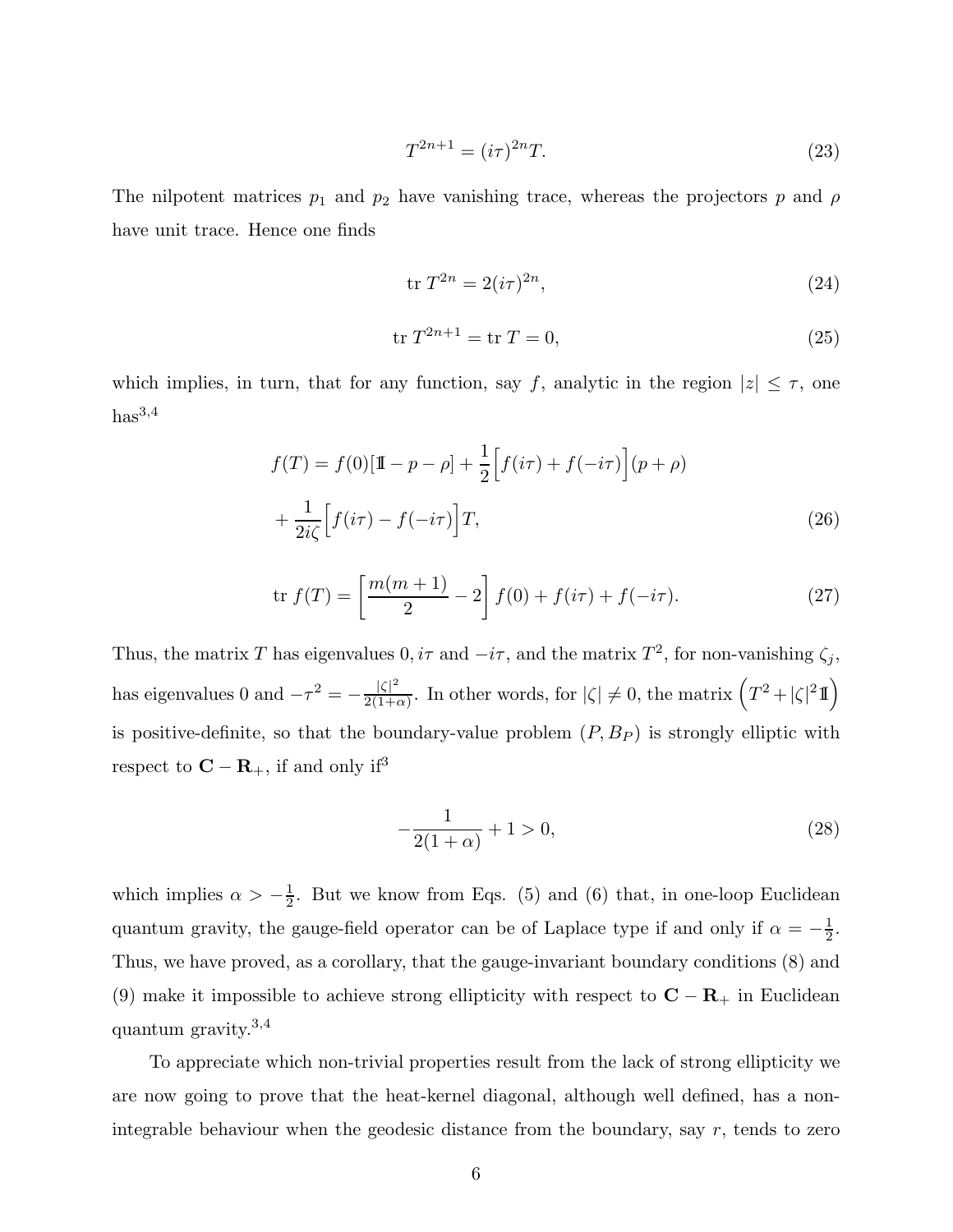$$
T^{2n+1} = (i\tau)^{2n}T.
$$
\n(23)

The nilpotent matrices  $p_1$  and  $p_2$  have vanishing trace, whereas the projectors p and  $\rho$ have unit trace. Hence one finds

$$
\operatorname{tr} T^{2n} = 2(i\tau)^{2n},\tag{24}
$$

$$
\text{tr } T^{2n+1} = \text{tr } T = 0,\tag{25}
$$

which implies, in turn, that for any function, say f, analytic in the region  $|z| \leq \tau$ , one  $has<sup>3,4</sup>$ 

$$
f(T) = f(0)[\mathbb{1} - p - \rho] + \frac{1}{2} \Big[ f(i\tau) + f(-i\tau) \Big](p + \rho)
$$
  
+ 
$$
\frac{1}{2i\zeta} \Big[ f(i\tau) - f(-i\tau) \Big] T,
$$
 (26)

$$
\text{tr } f(T) = \left[ \frac{m(m+1)}{2} - 2 \right] f(0) + f(i\tau) + f(-i\tau). \tag{27}
$$

Thus, the matrix T has eigenvalues  $0, i\tau$  and  $-i\tau$ , and the matrix  $T^2$ , for non-vanishing  $\zeta_j$ , has eigenvalues 0 and  $-\tau^2 = -\frac{|\zeta|^2}{2(1+\epsilon)}$  $\frac{|\zeta|^2}{2(1+\alpha)}$ . In other words, for  $|\zeta| \neq 0$ , the matrix  $(T^2 + |\zeta|^2 \mathbb{I})$ is positive-definite, so that the boundary-value problem  $(P, B_P)$  is strongly elliptic with respect to  ${\bf C} - {\bf R}_+,$  if and only  ${\rm i} {\rm f}^3$ 

$$
-\frac{1}{2(1+\alpha)} + 1 > 0,\t(28)
$$

which implies  $\alpha > -\frac{1}{2}$  $\frac{1}{2}$ . But we know from Eqs. (5) and (6) that, in one-loop Euclidean quantum gravity, the gauge-field operator can be of Laplace type if and only if  $\alpha = -\frac{1}{2}$  $\frac{1}{2}$ . Thus, we have proved, as a corollary, that the gauge-invariant boundary conditions (8) and (9) make it impossible to achieve strong ellipticity with respect to  $\mathbf{C} - \mathbf{R}_{+}$  in Euclidean quantum gravity.<sup>3</sup>,<sup>4</sup>

To appreciate which non-trivial properties result from the lack of strong ellipticity we are now going to prove that the heat-kernel diagonal, although well defined, has a nonintegrable behaviour when the geodesic distance from the boundary, say  $r$ , tends to zero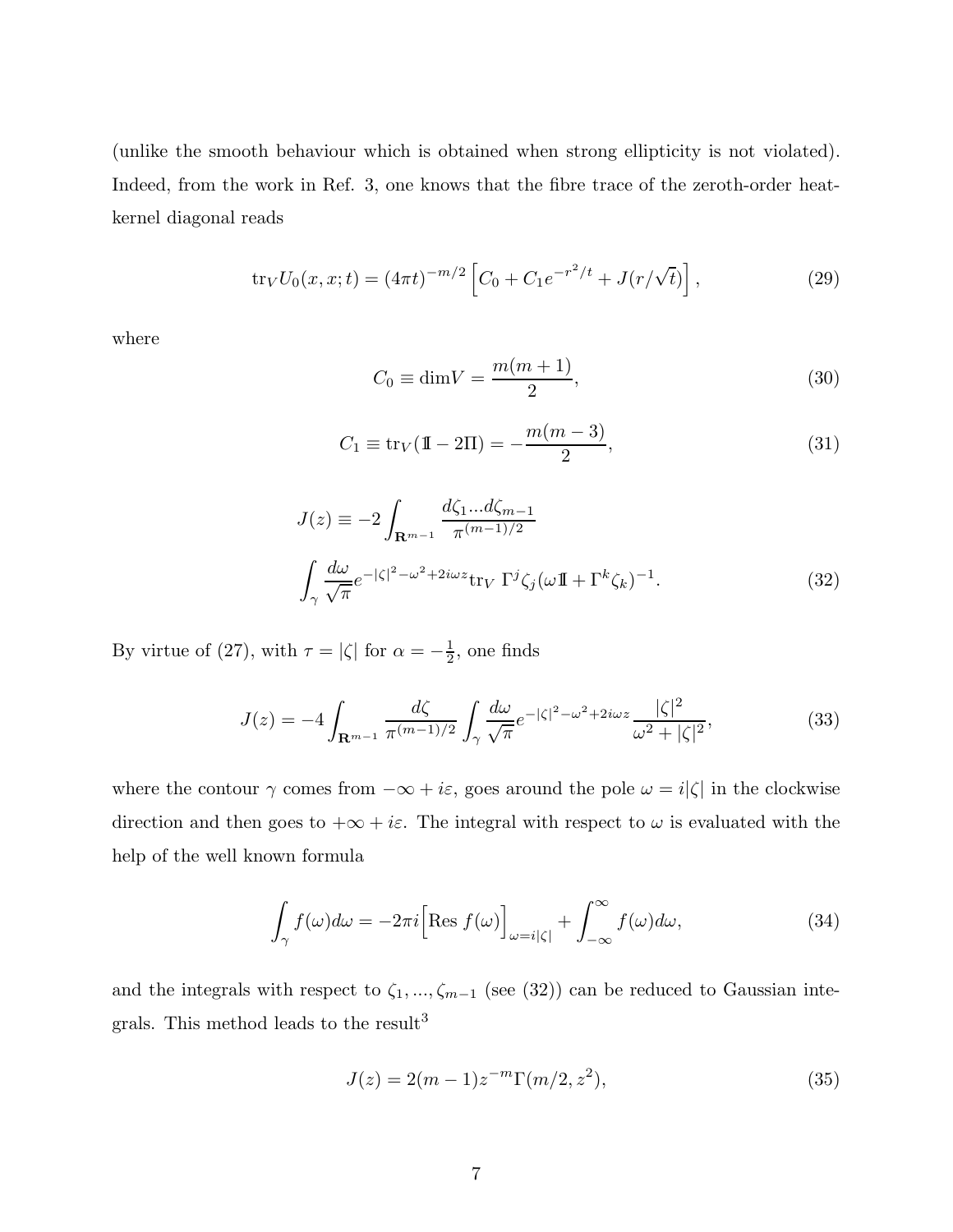(unlike the smooth behaviour which is obtained when strong ellipticity is not violated). Indeed, from the work in Ref. 3, one knows that the fibre trace of the zeroth-order heatkernel diagonal reads

$$
\text{tr}_V U_0(x, x; t) = (4\pi t)^{-m/2} \left[ C_0 + C_1 e^{-r^2/t} + J(r/\sqrt{t}) \right],\tag{29}
$$

where

$$
C_0 \equiv \dim V = \frac{m(m+1)}{2},\tag{30}
$$

$$
C_1 \equiv \text{tr}_V(\mathbb{I} - 2\Pi) = -\frac{m(m-3)}{2},\tag{31}
$$

$$
J(z) \equiv -2 \int_{\mathbf{R}^{m-1}} \frac{d\zeta_1 ... d\zeta_{m-1}}{\pi^{(m-1)/2}}
$$
  

$$
\int_{\gamma} \frac{d\omega}{\sqrt{\pi}} e^{-|\zeta|^2 - \omega^2 + 2i\omega z} \text{tr}_V \Gamma^j \zeta_j (\omega \mathbf{I} + \Gamma^k \zeta_k)^{-1}.
$$
 (32)

By virtue of (27), with  $\tau = |\zeta|$  for  $\alpha = -\frac{1}{2}$  $\frac{1}{2}$ , one finds

$$
J(z) = -4 \int_{\mathbf{R}^{m-1}} \frac{d\zeta}{\pi^{(m-1)/2}} \int_{\gamma} \frac{d\omega}{\sqrt{\pi}} e^{-|\zeta|^2 - \omega^2 + 2i\omega z} \frac{|\zeta|^2}{\omega^2 + |\zeta|^2},
$$
(33)

where the contour  $\gamma$  comes from  $-\infty+i\varepsilon,$  goes around the pole  $\omega=i|\zeta|$  in the clockwise direction and then goes to  $+\infty + i\varepsilon$ . The integral with respect to  $\omega$  is evaluated with the help of the well known formula

$$
\int_{\gamma} f(\omega) d\omega = -2\pi i \left[ \text{Res } f(\omega) \right]_{\omega = i|\zeta|} + \int_{-\infty}^{\infty} f(\omega) d\omega, \tag{34}
$$

and the integrals with respect to  $\zeta_1, ..., \zeta_{m-1}$  (see (32)) can be reduced to Gaussian integrals. This method leads to the result<sup>3</sup>

$$
J(z) = 2(m-1)z^{-m}\Gamma(m/2, z^2),
$$
\n(35)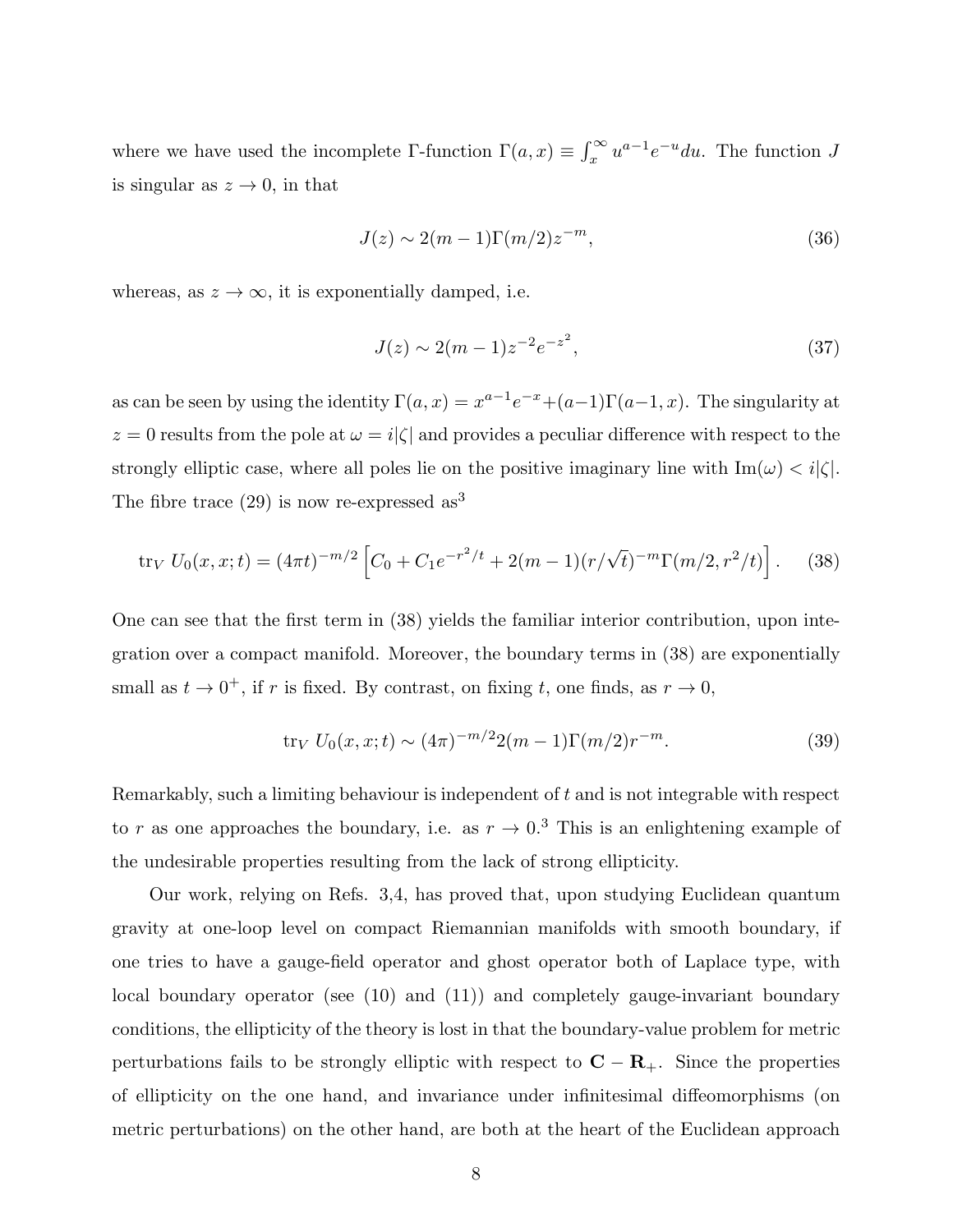where we have used the incomplete  $\Gamma$ -function  $\Gamma(a, x) \equiv \int_x^{\infty} u^{a-1} e^{-u} du$ . The function J is singular as  $z \to 0$ , in that

$$
J(z) \sim 2(m-1)\Gamma(m/2)z^{-m},\tag{36}
$$

whereas, as  $z \to \infty$ , it is exponentially damped, i.e.

$$
J(z) \sim 2(m-1)z^{-2}e^{-z^2},\tag{37}
$$

as can be seen by using the identity  $\Gamma(a, x) = x^{a-1}e^{-x} + (a-1)\Gamma(a-1, x)$ . The singularity at  $z = 0$  results from the pole at  $\omega = i|\zeta|$  and provides a peculiar difference with respect to the strongly elliptic case, where all poles lie on the positive imaginary line with  $\text{Im}(\omega) < i|\zeta|$ . The fibre trace  $(29)$  is now re-expressed as<sup>3</sup>

$$
\text{tr}_V U_0(x, x; t) = (4\pi t)^{-m/2} \left[ C_0 + C_1 e^{-r^2/t} + 2(m-1)(r/\sqrt{t})^{-m} \Gamma(m/2, r^2/t) \right]. \tag{38}
$$

One can see that the first term in (38) yields the familiar interior contribution, upon integration over a compact manifold. Moreover, the boundary terms in (38) are exponentially small as  $t \to 0^+$ , if r is fixed. By contrast, on fixing t, one finds, as  $r \to 0$ ,

$$
\text{tr}_V U_0(x, x; t) \sim (4\pi)^{-m/2} 2(m-1) \Gamma(m/2) r^{-m}.
$$
 (39)

Remarkably, such a limiting behaviour is independent of t and is not integrable with respect to r as one approaches the boundary, i.e. as  $r \to 0.3$  This is an enlightening example of the undesirable properties resulting from the lack of strong ellipticity.

Our work, relying on Refs. 3,4, has proved that, upon studying Euclidean quantum gravity at one-loop level on compact Riemannian manifolds with smooth boundary, if one tries to have a gauge-field operator and ghost operator both of Laplace type, with local boundary operator (see (10) and (11)) and completely gauge-invariant boundary conditions, the ellipticity of the theory is lost in that the boundary-value problem for metric perturbations fails to be strongly elliptic with respect to  $C - R_+$ . Since the properties of ellipticity on the one hand, and invariance under infinitesimal diffeomorphisms (on metric perturbations) on the other hand, are both at the heart of the Euclidean approach